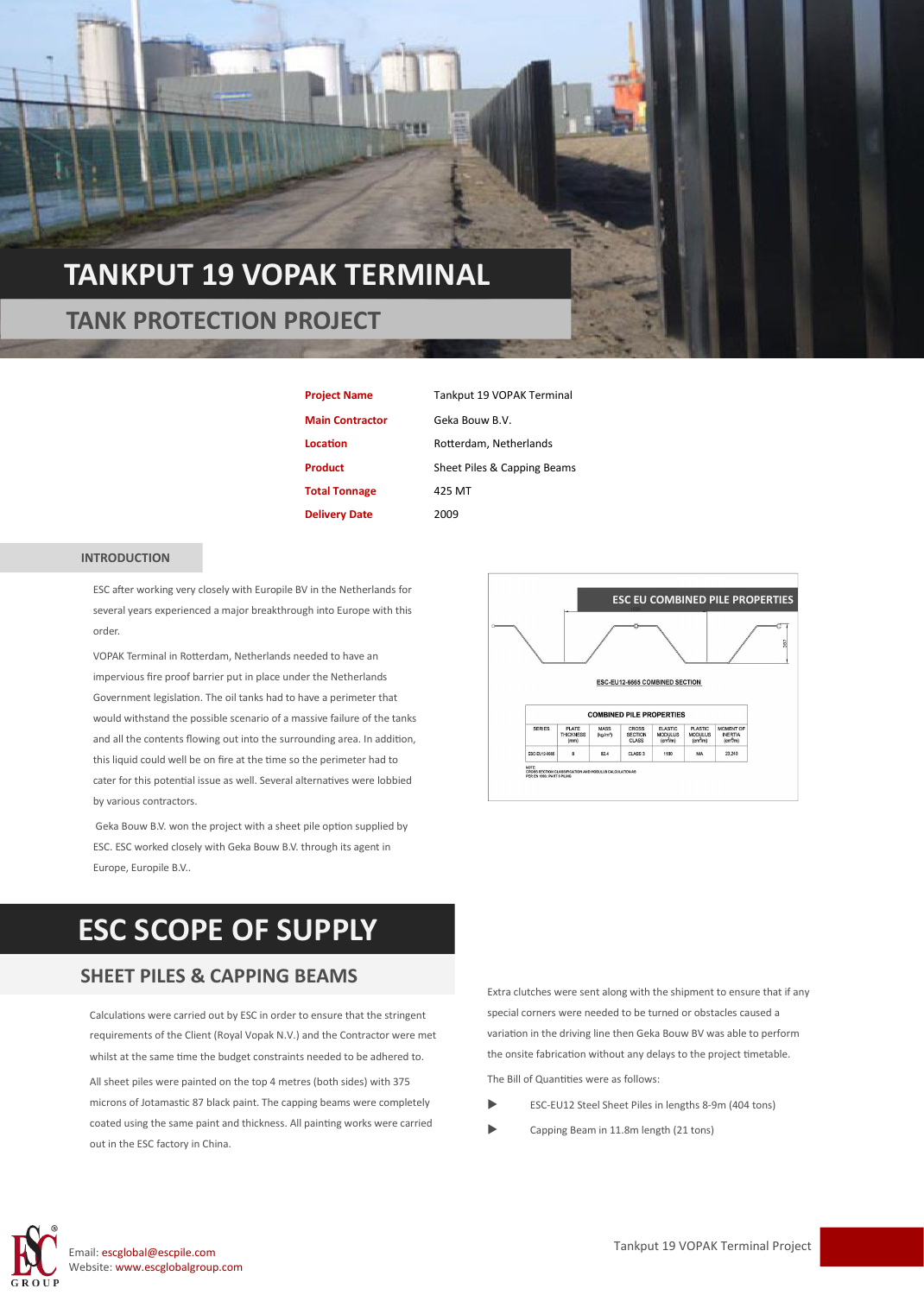### **TANKPUT 19 VOPAK TERMINAL**

 **TANK PROTECTION PROJECT**

**Project Name** Tankput 19 VOPAK Terminal **Main Contractor** Geka Bouw B.V. **Total Tonnage** 425 MT **Delivery Date** 2009

Location **Rotterdam**, Netherlands **Product** Sheet Piles & Capping Beams

#### **INTRODUCTION**

ESC after working very closely with Europile BV in the Netherlands for several years experienced a major breakthrough into Europe with this order.

VOPAK Terminal in Rotterdam, Netherlands needed to have an impervious fire proof barrier put in place under the Netherlands Government legislation. The oil tanks had to have a perimeter that would withstand the possible scenario of a massive failure of the tanks and all the contents flowing out into the surrounding area. In addition, this liquid could well be on fire at the time so the perimeter had to cater for this potential issue as well. Several alternatives were lobbied by various contractors.

Geka Bouw B.V. won the project with a sheet pile option supplied by ESC. ESC worked closely with Geka Bouw B.V. through its agent in Europe, Europile B.V..



## **ESC SCOPE OF SUPPLY**

### **SHEET PILES & CAPPING BEAMS**

Calculations were carried out by ESC in order to ensure that the stringent requirements of the Client (Royal Vopak N.V.) and the Contractor were met whilst at the same time the budget constraints needed to be adhered to.

All sheet piles were painted on the top 4 metres (both sides) with 375 microns of Jotamastic 87 black paint. The capping beams were completely coated using the same paint and thickness. All painting works were carried out in the ESC factory in China.

Extra clutches were sent along with the shipment to ensure that if any special corners were needed to be turned or obstacles caused a variation in the driving line then Geka Bouw BV was able to perform the onsite fabrication without any delays to the project timetable.

The Bill of Quantities were as follows:

- ESC-EU12 Steel Sheet Piles in lengths 8-9m (404 tons)
- Capping Beam in 11.8m length (21 tons)